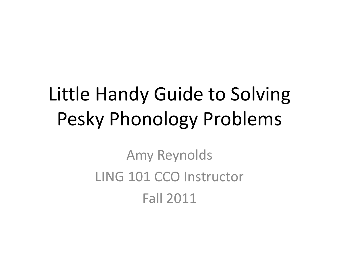## Little Handy Guide to Solving Pesky Phonology Problems

Amy Reynolds LING 101 CCO Instructor Fall 2011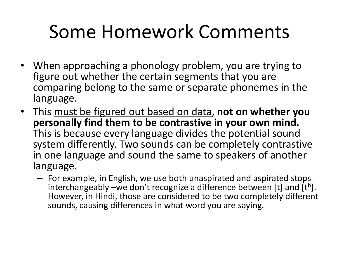#### Some Homework Comments

- When approaching a phonology problem, you are trying to figure out whether the certain segments that you are comparing belong to the same or separate phonemes in the language.
- This must be figured out based on data, **not on whether you personally find them to be contrastive in your own mind.**  This is because every language divides the potential sound system differently. Two sounds can be completely contrastive in one language and sound the same to speakers of another language.
	- For example, in English, we use both unaspirated and aspirated stops interchangeably  $-\text{we}$  don't recognize a difference between [t] and [th]. However, in Hindi, those are considered to be two completely different sounds, causing differences in what word you are saying.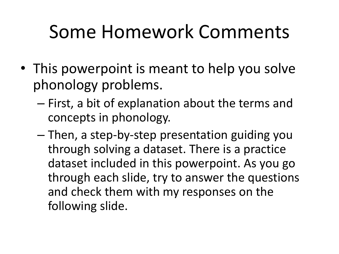#### Some Homework Comments

- This powerpoint is meant to help you solve phonology problems.
	- First, a bit of explanation about the terms and concepts in phonology.
	- Then, a step-by-step presentation guiding you through solving a dataset. There is a practice dataset included in this powerpoint. As you go through each slide, try to answer the questions and check them with my responses on the following slide.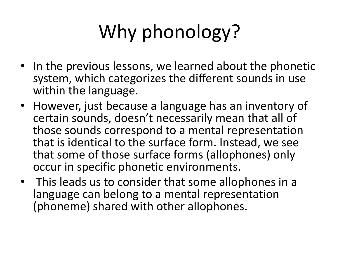# Why phonology?

- In the previous lessons, we learned about the phonetic system, which categorizes the different sounds in use within the language.
- However, just because a language has an inventory of certain sounds, doesn't necessarily mean that all of those sounds correspond to a mental representation that is identical to the surface form. Instead, we see that some of those surface forms (allophones) only occur in specific phonetic environments.
- This leads us to consider that some allophones in a language can belong to a mental representation (phoneme) shared with other allophones.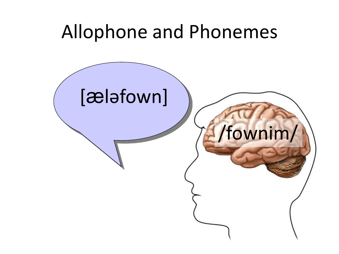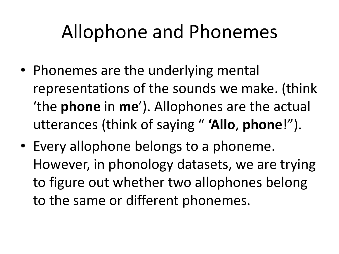#### Allophone and Phonemes

- Phonemes are the underlying mental representations of the sounds we make. (think 'the **phone** in **me**'). Allophones are the actual utterances (think of saying " **'Allo**, **phone**!").
- Every allophone belongs to a phoneme. However, in phonology datasets, we are trying to figure out whether two allophones belong to the same or different phonemes.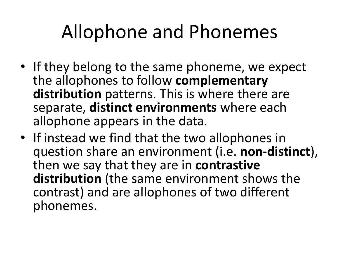#### Allophone and Phonemes

- If they belong to the same phoneme, we expect the allophones to follow **complementary distribution** patterns. This is where there are separate, **distinct environments** where each allophone appears in the data.
- If instead we find that the two allophones in question share an environment (i.e. **non-distinct**), then we say that they are in **contrastive distribution** (the same environment shows the contrast) and are allophones of two different phonemes.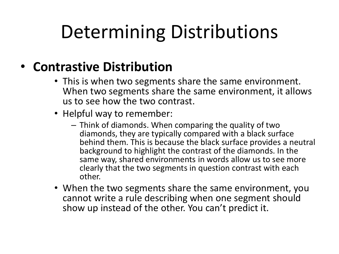# Determining Distributions

#### • **Contrastive Distribution**

- This is when two segments share the same environment. When two segments share the same environment, it allows us to see how the two contrast.
- Helpful way to remember:
	- Think of diamonds. When comparing the quality of two diamonds, they are typically compared with a black surface behind them. This is because the black surface provides a neutral background to highlight the contrast of the diamonds. In the same way, shared environments in words allow us to see more clearly that the two segments in question contrast with each other.
- When the two segments share the same environment, you cannot write a rule describing when one segment should show up instead of the other. You can't predict it.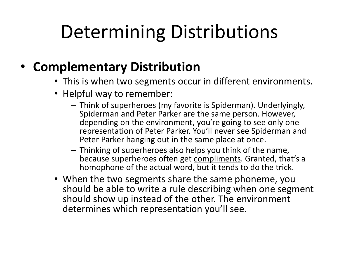# Determining Distributions

#### • **Complementary Distribution**

- This is when two segments occur in different environments.
- Helpful way to remember:
	- Think of superheroes (my favorite is Spiderman). Underlyingly, Spiderman and Peter Parker are the same person. However, depending on the environment, you're going to see only one representation of Peter Parker. You'll never see Spiderman and Peter Parker hanging out in the same place at once.
	- Thinking of superheroes also helps you think of the name, because superheroes often get compliments. Granted, that's a homophone of the actual word, but it tends to do the trick.
- When the two segments share the same phoneme, you should be able to write a rule describing when one segment should show up instead of the other. The environment determines which representation you'll see.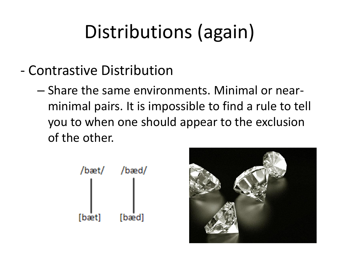# Distributions (again)

- Contrastive Distribution
	- Share the same environments. Minimal or nearminimal pairs. It is impossible to find a rule to tell you to when one should appear to the exclusion of the other.



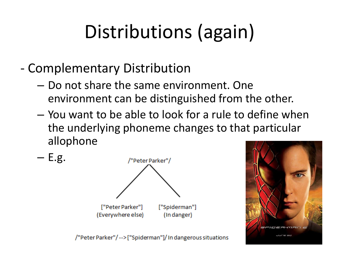# Distributions (again)

- Complementary Distribution

 $- E.g.$ 

- Do not share the same environment. One environment can be distinguished from the other.
- You want to be able to look for a rule to define when the underlying phoneme changes to that particular allophone





/"Peter Parker"/-->["Spiderman"]/ In dangerous situations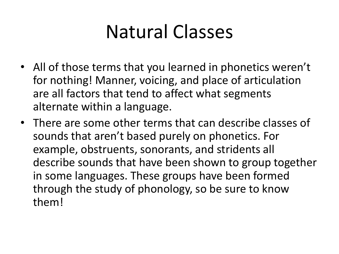#### Natural Classes

- All of those terms that you learned in phonetics weren't for nothing! Manner, voicing, and place of articulation are all factors that tend to affect what segments alternate within a language.
- There are some other terms that can describe classes of sounds that aren't based purely on phonetics. For example, obstruents, sonorants, and stridents all describe sounds that have been shown to group together in some languages. These groups have been formed through the study of phonology, so be sure to know them!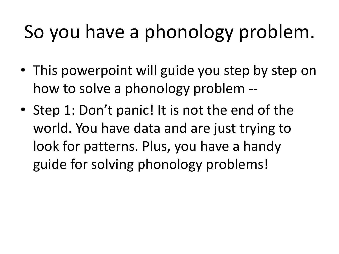# So you have a phonology problem.

- This powerpoint will guide you step by step on how to solve a phonology problem --
- Step 1: Don't panic! It is not the end of the world. You have data and are just trying to look for patterns. Plus, you have a handy guide for solving phonology problems!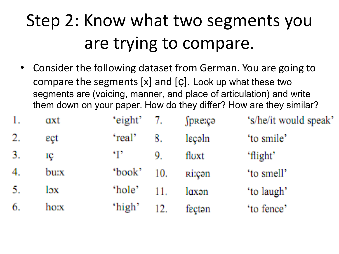#### Step 2: Know what two segments you are trying to compare.

• Consider the following dataset from German. You are going to compare the segments [x] and [ç]. Look up what these two segments are (voicing, manner, and place of articulation) and write them down on your paper. How do they differ? How are they similar?

| 1. | axt  | 'eight' $7.$ |     | $\int$ pre:cə | 's/he/it would speak' |
|----|------|--------------|-----|---------------|-----------------------|
| 2. | eçt  | 'real'       | 8.  | leçəln        | 'to smile'            |
| 3. | IÇ   | °F           | 9.  | floxt         | 'flight'              |
| 4. | burx | 'book'       | 10. | <b>Ri:can</b> | 'to smell'            |
| 5. | lэx  | 'hole'       | 11. | laxən         | 'to laugh'            |
| 6. | ho:x | 'high'       | 12. | fecton        | 'to fence'            |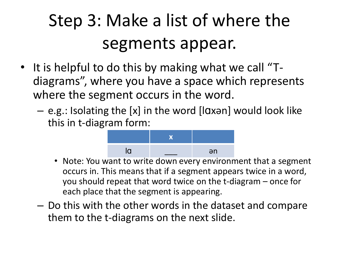#### Step 3: Make a list of where the segments appear.

- It is helpful to do this by making what we call "Tdiagrams", where you have a space which represents where the segment occurs in the word.
	- e.g.: Isolating the [x] in the word [lɑxən] would look like this in t-diagram form:



- Note: You want to write down every environment that a segment occurs in. This means that if a segment appears twice in a word, you should repeat that word twice on the t-diagram – once for each place that the segment is appearing.
- Do this with the other words in the dataset and compare them to the t-diagrams on the next slide.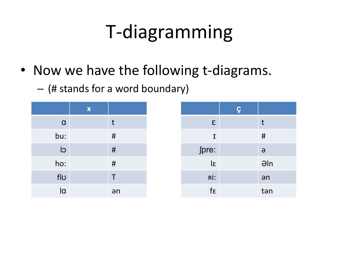# T-diagramming

- Now we have the following t-diagrams.
	- (# stands for a word boundary)

|          | $\boldsymbol{\mathsf{X}}$ |    |
|----------|---------------------------|----|
| $\alpha$ |                           | t  |
| bu:      |                           | #  |
| CI       |                           | #  |
| ho:      |                           | #  |
| flʊ      |                           | T  |
| la       |                           | an |

|                       | Ç |                |
|-----------------------|---|----------------|
| $\epsilon$            |   | t              |
| I                     |   | #              |
| ∫pre:                 |   | $\Theta$       |
| $\overline{\epsilon}$ |   | $\partial \ln$ |
| Rİ:                   |   | an             |
| $f\epsilon$           |   | tən            |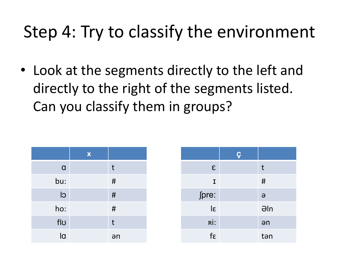• Look at the segments directly to the left and directly to the right of the segments listed. Can you classify them in groups?

|          | $\boldsymbol{\mathsf{X}}$ |      |
|----------|---------------------------|------|
| $\alpha$ |                           | t    |
| bu:      |                           | $\#$ |
| CI       |                           | $\#$ |
| ho:      |                           | #    |
| flʊ      |                           | t    |
| la       |                           | an   |

|                       | Ç |                |
|-----------------------|---|----------------|
| $\epsilon$            |   | t              |
| $\mathbf I$           |   | #              |
| fpre:                 |   | $\Theta$       |
| $\overline{\epsilon}$ |   | $\partial \ln$ |
| Rİ:                   |   | an             |
| $f\epsilon$           |   | tən            |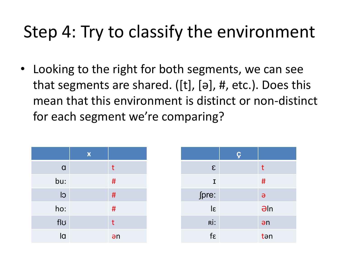• Looking to the right for both segments, we can see that segments are shared. ([t], [ə], #, etc.). Does this mean that this environment is distinct or non-distinct for each segment we're comparing?

|          | $\boldsymbol{\mathsf{X}}$ |    |
|----------|---------------------------|----|
| $\alpha$ |                           | t  |
| bu:      |                           | #  |
| CI       |                           | #  |
| ho:      |                           | #  |
| flʊ      |                           | t  |
| la       |                           | ən |

|                       | Ç |             |
|-----------------------|---|-------------|
| $\epsilon$            |   | t           |
| $\mathbf I$           |   | #           |
| fpre:                 |   | $\Theta$    |
| $\overline{\epsilon}$ |   | $\theta$ ln |
| Rİ:                   |   | an          |
| $f\epsilon$           |   | tən         |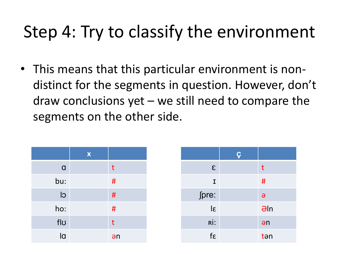• This means that this particular environment is nondistinct for the segments in question. However, don't draw conclusions yet – we still need to compare the segments on the other side.

|             | $\boldsymbol{\mathsf{X}}$ |    |
|-------------|---------------------------|----|
| $\mathbf Q$ |                           | t  |
| bu:         |                           | #  |
| CI          |                           | #  |
| ho:         |                           | #  |
| flʊ         |                           | t  |
| la          |                           | an |

|                       | Ç |             |
|-----------------------|---|-------------|
| $\epsilon$            |   | t           |
| $\mathbf I$           |   | #           |
| fpre:                 |   | $\Theta$    |
| $\overline{\epsilon}$ |   | $\theta$ ln |
| Rİ:                   |   | an          |
| $f\epsilon$           |   | tən         |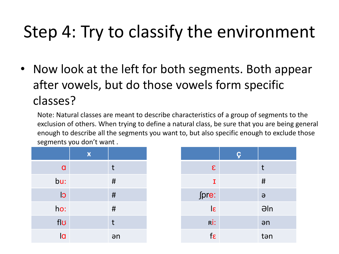• Now look at the left for both segments. Both appear after vowels, but do those vowels form specific classes?

Note: Natural classes are meant to describe characteristics of a group of segments to the exclusion of others. When trying to define a natural class, be sure that you are being general enough to describe all the segments you want to, but also specific enough to exclude those segments you don't want .

|              | $\boldsymbol{\mathsf{X}}$ |      |
|--------------|---------------------------|------|
| $\mathbf{a}$ |                           | t    |
| bu:          |                           | $\#$ |
| <b>CI</b>    |                           | #    |
| ho:          |                           | #    |
| flʊ          |                           | t    |
| la           |                           | an   |

|                       | Ç |                |
|-----------------------|---|----------------|
| $\epsilon$            |   | t              |
| I                     |   | #              |
| fpre:                 |   | $\Theta$       |
| $\overline{\epsilon}$ |   | $\partial \ln$ |
| Rİ:                   |   | an             |
| $f_{\mathcal{E}}$     |   | tən            |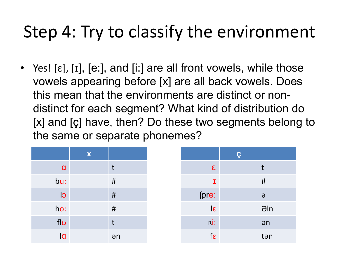• Yes!  $[\epsilon]$ ,  $[I]$ ,  $[\epsilon$ :], and  $[i]$  are all front vowels, while those vowels appearing before [x] are all back vowels. Does this mean that the environments are distinct or nondistinct for each segment? What kind of distribution do [x] and [ç] have, then? Do these two segments belong to the same or separate phonemes?

|           | $\boldsymbol{\mathsf{X}}$ |    |
|-----------|---------------------------|----|
| $\alpha$  |                           | t  |
| bu:       |                           | #  |
| <b>CI</b> |                           | #  |
| ho:       |                           | #  |
| flʊ       |                           | t  |
| la        |                           | an |

|                       | Ç |                |
|-----------------------|---|----------------|
| $\epsilon$            |   | t              |
| I                     |   | #              |
| fpre:                 |   | $\Theta$       |
| $\overline{\epsilon}$ |   | $\partial \ln$ |
| Rİ:                   |   | an             |
| $f_{\mathcal{E}}$     |   | tən            |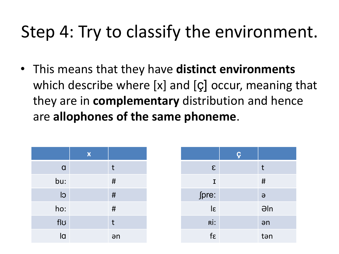• This means that they have **distinct environments**  which describe where [x] and [ç] occur, meaning that they are in **complementary** distribution and hence are **allophones of the same phoneme**.

|                | $\boldsymbol{\mathsf{X}}$ |      |
|----------------|---------------------------|------|
| $\alpha$       |                           | t    |
| bu:            |                           | #    |
| $\overline{C}$ |                           | $\#$ |
| ho:            |                           | $\#$ |
| flʊ            |                           | t    |
| la             |                           | an   |

|                         | $\overline{\varsigma}$ |                |
|-------------------------|------------------------|----------------|
| $\epsilon$              |                        | t              |
| $\mathbf I$             |                        | #              |
| fpre:                   |                        | $\Theta$       |
| $\overline{\mathsf{S}}$ |                        | $\partial \ln$ |
| Rİ:                     |                        | an             |
| $f\epsilon$             |                        | tən            |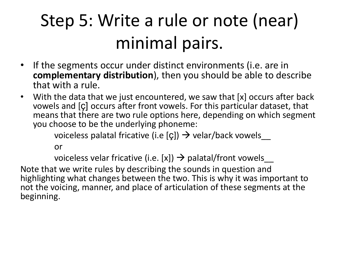#### Step 5: Write a rule or note (near) minimal pairs.

- If the segments occur under distinct environments (i.e. are in **complementary distribution**), then you should be able to describe that with a rule.
- With the data that we just encountered, we saw that [x] occurs after back vowels and [ç] occurs after front vowels. For this particular dataset, that means that there are two rule options here, depending on which segment you choose to be the underlying phoneme:

voiceless palatal fricative (i.e [ç])  $\rightarrow$  velar/back vowels\_

or

voiceless velar fricative (i.e. [x])  $\rightarrow$  palatal/front vowels\_

Note that we write rules by describing the sounds in question and highlighting what changes between the two. This is why it was important to not the voicing, manner, and place of articulation of these segments at the beginning.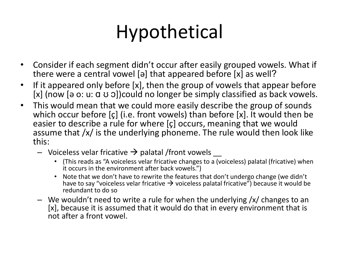# Hypothetical

- Consider if each segment didn't occur after easily grouped vowels. What if there were a central vowel [ə] that appeared before [x] as well?
- If it appeared only before [x], then the group of vowels that appear before [x] (now [a o: u:  $\alpha$  v o])could no longer be simply classified as back vowels.
- This would mean that we could more easily describe the group of sounds which occur before [ç] (i.e. front vowels) than before [x]. It would then be easier to describe a rule for where [ç] occurs, meaning that we would assume that /x/ is the underlying phoneme. The rule would then look like this:
	- Voiceless velar fricative  $\rightarrow$  palatal /front vowels
		- (This reads as "A voiceless velar fricative changes to a (voiceless) palatal (fricative) when it occurs in the environment after back vowels.")
		- Note that we don't have to rewrite the features that don't undergo change (we didn't have to say "voiceless velar fricative  $\rightarrow$  voiceless palatal fricative") because it would be redundant to do so
	- We wouldn't need to write a rule for when the underlying /x/ changes to an [x], because it is assumed that it would do that in every environment that is not after a front vowel.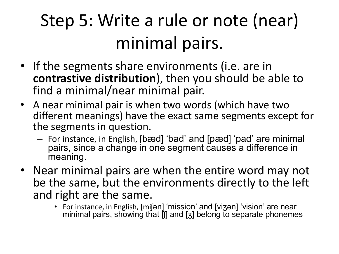#### Step 5: Write a rule or note (near) minimal pairs.

- If the segments share environments (i.e. are in **contrastive distribution**), then you should be able to find a minimal/near minimal pair.
- A near minimal pair is when two words (which have two different meanings) have the exact same segments except for the segments in question.
	- For instance, in English, [bæd] 'bad' and [pæd] 'pad' are minimal pairs, since a change in one segment causes a difference in meaning.
- Near minimal pairs are when the entire word may not be the same, but the environments directly to the left and right are the same.
	- For instance, in English, [miʃən] 'mission' and [viʒən] 'vision' are near minimal pairs, showing that [ʃ] and [ʒ] belong to separate phonemes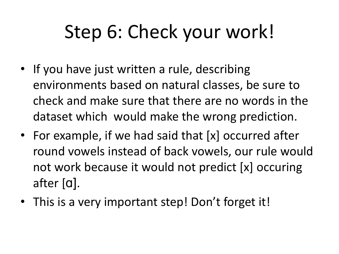# Step 6: Check your work!

- If you have just written a rule, describing environments based on natural classes, be sure to check and make sure that there are no words in the dataset which would make the wrong prediction.
- For example, if we had said that [x] occurred after round vowels instead of back vowels, our rule would not work because it would not predict [x] occuring after [ɑ].
- This is a very important step! Don't forget it!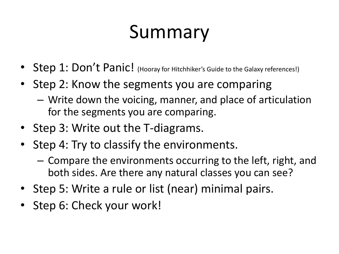# Summary

- Step 1: Don't Panic! (Hooray for Hitchhiker's Guide to the Galaxy references!)
- Step 2: Know the segments you are comparing
	- Write down the voicing, manner, and place of articulation for the segments you are comparing.
- Step 3: Write out the T-diagrams.
- Step 4: Try to classify the environments.
	- Compare the environments occurring to the left, right, and both sides. Are there any natural classes you can see?
- Step 5: Write a rule or list (near) minimal pairs.
- Step 6: Check your work!